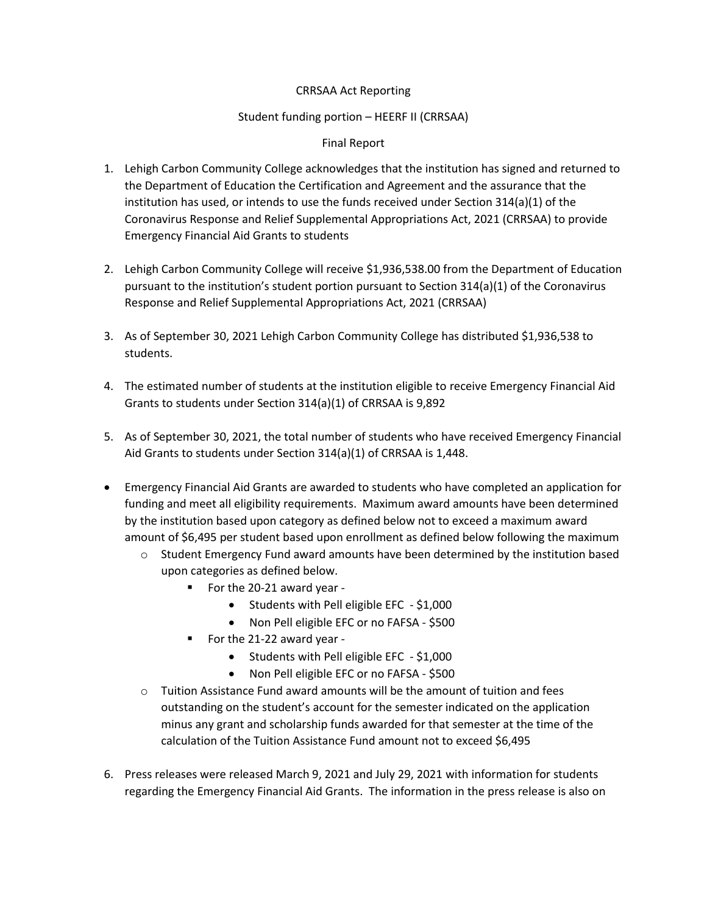## CRRSAA Act Reporting

## Student funding portion – HEERF II (CRRSAA)

## Final Report

- 1. Lehigh Carbon Community College acknowledges that the institution has signed and returned to the Department of Education the Certification and Agreement and the assurance that the institution has used, or intends to use the funds received under Section 314(a)(1) of the Coronavirus Response and Relief Supplemental Appropriations Act, 2021 (CRRSAA) to provide Emergency Financial Aid Grants to students
- 2. Lehigh Carbon Community College will receive \$1,936,538.00 from the Department of Education pursuant to the institution's student portion pursuant to Section 314(a)(1) of the Coronavirus Response and Relief Supplemental Appropriations Act, 2021 (CRRSAA)
- 3. As of September 30, 2021 Lehigh Carbon Community College has distributed \$1,936,538 to students.
- 4. The estimated number of students at the institution eligible to receive Emergency Financial Aid Grants to students under Section 314(a)(1) of CRRSAA is 9,892
- 5. As of September 30, 2021, the total number of students who have received Emergency Financial Aid Grants to students under Section 314(a)(1) of CRRSAA is 1,448.
- Emergency Financial Aid Grants are awarded to students who have completed an application for funding and meet all eligibility requirements. Maximum award amounts have been determined by the institution based upon category as defined below not to exceed a maximum award amount of \$6,495 per student based upon enrollment as defined below following the maximum
	- $\circ$  Student Emergency Fund award amounts have been determined by the institution based upon categories as defined below.
		- For the 20-21 award year -
			- Students with Pell eligible EFC \$1,000
			- Non Pell eligible EFC or no FAFSA \$500
		- For the 21-22 award year -
			- Students with Pell eligible EFC \$1,000
			- Non Pell eligible EFC or no FAFSA \$500
	- $\circ$  Tuition Assistance Fund award amounts will be the amount of tuition and fees outstanding on the student's account for the semester indicated on the application minus any grant and scholarship funds awarded for that semester at the time of the calculation of the Tuition Assistance Fund amount not to exceed \$6,495
- 6. Press releases were released March 9, 2021 and July 29, 2021 with information for students regarding the Emergency Financial Aid Grants. The information in the press release is also on